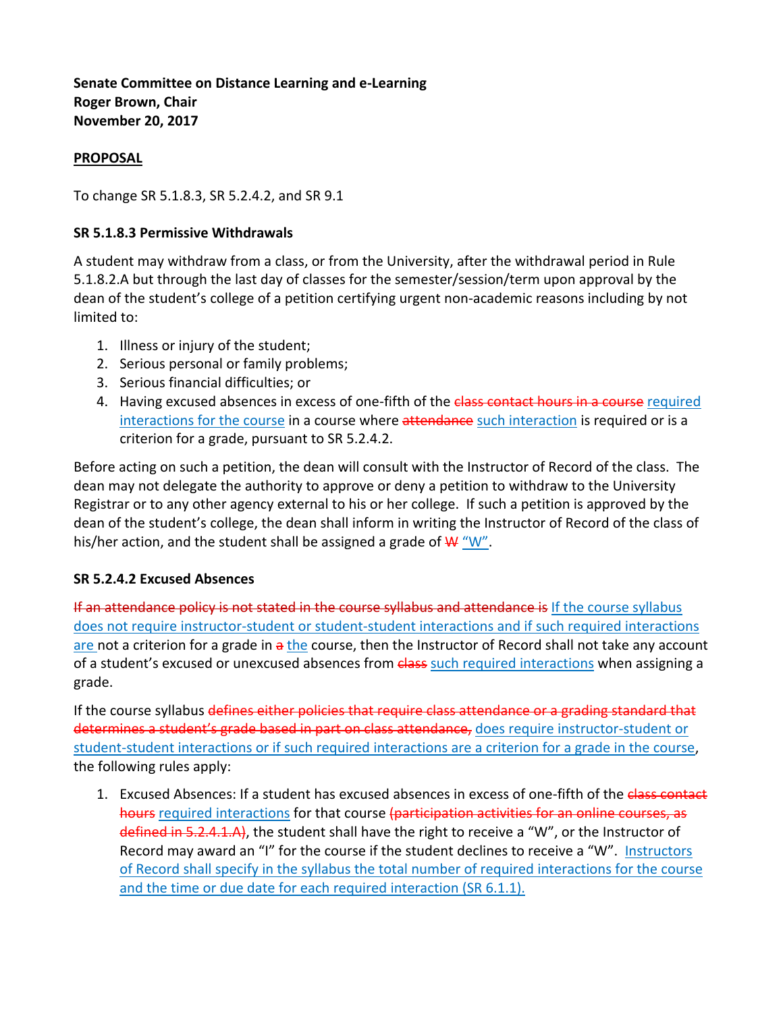**Senate Committee on Distance Learning and e-Learning Roger Brown, Chair November 20, 2017**

#### **PROPOSAL**

To change SR 5.1.8.3, SR 5.2.4.2, and SR 9.1

#### **SR 5.1.8.3 Permissive Withdrawals**

A student may withdraw from a class, or from the University, after the withdrawal period in Rule 5.1.8.2.A but through the last day of classes for the semester/session/term upon approval by the dean of the student's college of a petition certifying urgent non-academic reasons including by not limited to:

- 1. Illness or injury of the student;
- 2. Serious personal or family problems;
- 3. Serious financial difficulties; or
- 4. Having excused absences in excess of one-fifth of the class contact hours in a course required interactions for the course in a course where attendance such interaction is required or is a criterion for a grade, pursuant to SR 5.2.4.2.

Before acting on such a petition, the dean will consult with the Instructor of Record of the class. The dean may not delegate the authority to approve or deny a petition to withdraw to the University Registrar or to any other agency external to his or her college. If such a petition is approved by the dean of the student's college, the dean shall inform in writing the Instructor of Record of the class of his/her action, and the student shall be assigned a grade of  $W''W''$ .

### **SR 5.2.4.2 Excused Absences**

If an attendance policy is not stated in the course syllabus and attendance is If the course syllabus does not require instructor-student or student-student interactions and if such required interactions are not a criterion for a grade in a the course, then the Instructor of Record shall not take any account of a student's excused or unexcused absences from class such required interactions when assigning a grade.

If the course syllabus defines either policies that require class attendance or a grading standard that determines a student's grade based in part on class attendance, does require instructor-student or student-student interactions or if such required interactions are a criterion for a grade in the course, the following rules apply:

1. Excused Absences: If a student has excused absences in excess of one-fifth of the class contact hours required interactions for that course (participation activities for an online courses, as defined in 5.2.4.1.A), the student shall have the right to receive a "W", or the Instructor of Record may award an "I" for the course if the student declines to receive a "W". Instructors of Record shall specify in the syllabus the total number of required interactions for the course and the time or due date for each required interaction (SR 6.1.1).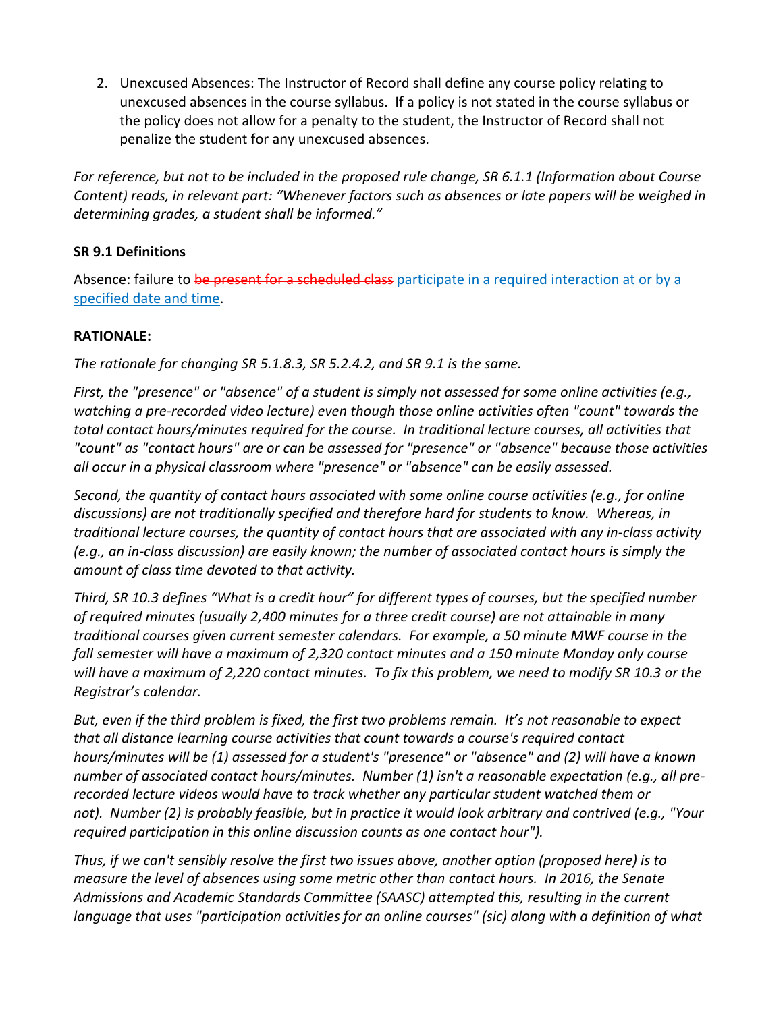2. Unexcused Absences: The Instructor of Record shall define any course policy relating to unexcused absences in the course syllabus. If a policy is not stated in the course syllabus or the policy does not allow for a penalty to the student, the Instructor of Record shall not penalize the student for any unexcused absences.

*For reference, but not to be included in the proposed rule change, SR 6.1.1 (Information about Course Content) reads, in relevant part: "Whenever factors such as absences or late papers will be weighed in determining grades, a student shall be informed."*

# **SR 9.1 Definitions**

Absence: failure to be present for a scheduled class participate in a required interaction at or by a specified date and time.

# **RATIONALE:**

*The rationale for changing SR 5.1.8.3, SR 5.2.4.2, and SR 9.1 is the same.*

*First, the "presence" or "absence" of a student is simply not assessed for some online activities (e.g., watching a pre-recorded video lecture) even though those online activities often "count" towards the total contact hours/minutes required for the course. In traditional lecture courses, all activities that "count" as "contact hours" are or can be assessed for "presence" or "absence" because those activities all occur in a physical classroom where "presence" or "absence" can be easily assessed.*

*Second, the quantity of contact hours associated with some online course activities (e.g., for online discussions) are not traditionally specified and therefore hard for students to know. Whereas, in traditional lecture courses, the quantity of contact hours that are associated with any in-class activity (e.g., an in-class discussion) are easily known; the number of associated contact hours is simply the amount of class time devoted to that activity.*

*Third, SR 10.3 defines "What is a credit hour" for different types of courses, but the specified number of required minutes (usually 2,400 minutes for a three credit course) are not attainable in many traditional courses given current semester calendars. For example, a 50 minute MWF course in the fall semester will have a maximum of 2,320 contact minutes and a 150 minute Monday only course will have a maximum of 2,220 contact minutes. To fix this problem, we need to modify SR 10.3 or the Registrar's calendar.* 

*But, even if the third problem is fixed, the first two problems remain. It's not reasonable to expect that all distance learning course activities that count towards a course's required contact hours/minutes will be (1) assessed for a student's "presence" or "absence" and (2) will have a known number of associated contact hours/minutes. Number (1) isn't a reasonable expectation (e.g., all prerecorded lecture videos would have to track whether any particular student watched them or not). Number (2) is probably feasible, but in practice it would look arbitrary and contrived (e.g., "Your required participation in this online discussion counts as one contact hour").*

*Thus, if we can't sensibly resolve the first two issues above, another option (proposed here) is to measure the level of absences using some metric other than contact hours. In 2016, the Senate Admissions and Academic Standards Committee (SAASC) attempted this, resulting in the current language that uses "participation activities for an online courses" (sic) along with a definition of what*